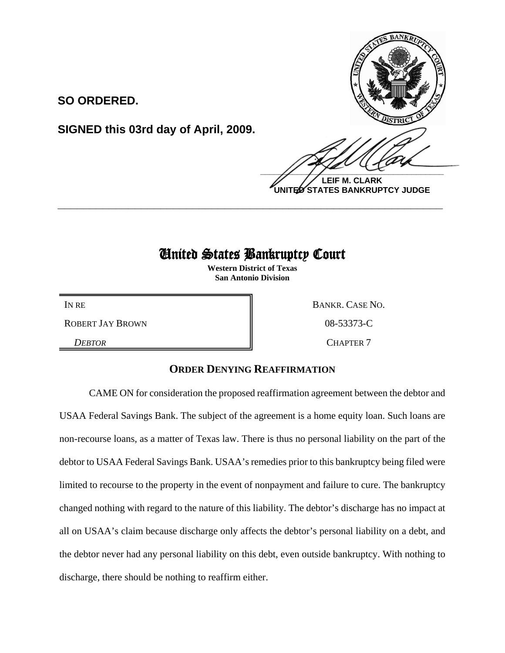

**LEIF M. CLARK UNITED STATES BANKRUPTCY JUDGE**

## United States Bankruptcy Court

**\_\_\_\_\_\_\_\_\_\_\_\_\_\_\_\_\_\_\_\_\_\_\_\_\_\_\_\_\_\_\_\_\_\_\_\_\_\_\_\_\_\_\_\_\_\_\_\_\_\_\_\_\_\_\_\_\_\_\_\_**

**Western District of Texas San Antonio Division**

ROBERT JAY BROWN  $\parallel$  08-53373-C

**SO ORDERED.**

**SIGNED this 03rd day of April, 2009.**

IN RE BANKR. CASE NO. **DEBTOR** CHAPTER 7

## **ORDER DENYING REAFFIRMATION**

CAME ON for consideration the proposed reaffirmation agreement between the debtor and USAA Federal Savings Bank. The subject of the agreement is a home equity loan. Such loans are non-recourse loans, as a matter of Texas law. There is thus no personal liability on the part of the debtor to USAA Federal Savings Bank. USAA's remedies prior to this bankruptcy being filed were limited to recourse to the property in the event of nonpayment and failure to cure. The bankruptcy changed nothing with regard to the nature of this liability. The debtor's discharge has no impact at all on USAA's claim because discharge only affects the debtor's personal liability on a debt, and the debtor never had any personal liability on this debt, even outside bankruptcy. With nothing to discharge, there should be nothing to reaffirm either.